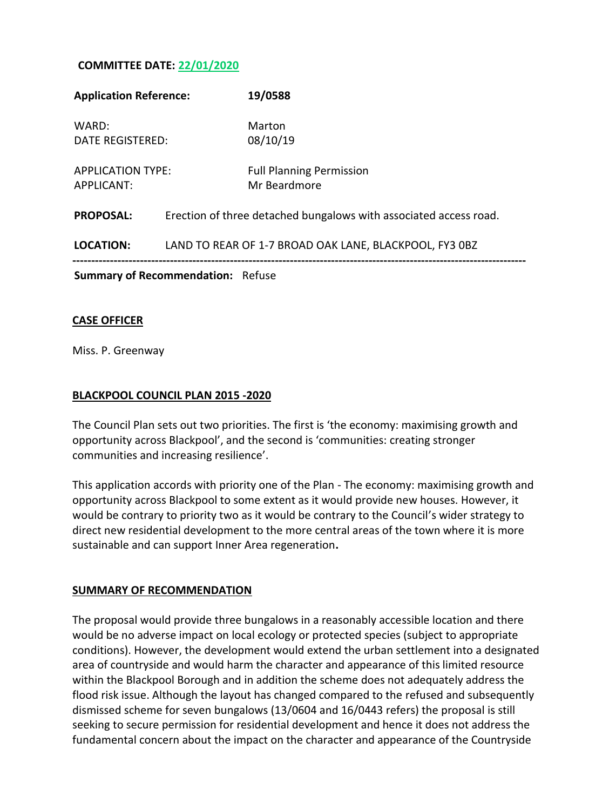### **COMMITTEE DATE: 22/01/2020**

| <b>Application Reference:</b>            |  | 19/0588                                                           |
|------------------------------------------|--|-------------------------------------------------------------------|
| WARD:<br>DATE REGISTERED:                |  | Marton<br>08/10/19                                                |
| <b>APPLICATION TYPE:</b><br>APPLICANT:   |  | <b>Full Planning Permission</b><br>Mr Beardmore                   |
| <b>PROPOSAL:</b>                         |  | Erection of three detached bungalows with associated access road. |
| <b>LOCATION:</b>                         |  | LAND TO REAR OF 1-7 BROAD OAK LANE, BLACKPOOL, FY3 OBZ            |
| <b>Summary of Recommendation: Refuse</b> |  |                                                                   |
|                                          |  |                                                                   |

#### **CASE OFFICER**

Miss. P. Greenway

#### **BLACKPOOL COUNCIL PLAN 2015 -2020**

The Council Plan sets out two priorities. The first is 'the economy: maximising growth and opportunity across Blackpool', and the second is 'communities: creating stronger communities and increasing resilience'.

This application accords with priority one of the Plan - The economy: maximising growth and opportunity across Blackpool to some extent as it would provide new houses. However, it would be contrary to priority two as it would be contrary to the Council's wider strategy to direct new residential development to the more central areas of the town where it is more sustainable and can support Inner Area regeneration**.**

#### **SUMMARY OF RECOMMENDATION**

The proposal would provide three bungalows in a reasonably accessible location and there would be no adverse impact on local ecology or protected species (subject to appropriate conditions). However, the development would extend the urban settlement into a designated area of countryside and would harm the character and appearance of this limited resource within the Blackpool Borough and in addition the scheme does not adequately address the flood risk issue. Although the layout has changed compared to the refused and subsequently dismissed scheme for seven bungalows (13/0604 and 16/0443 refers) the proposal is still seeking to secure permission for residential development and hence it does not address the fundamental concern about the impact on the character and appearance of the Countryside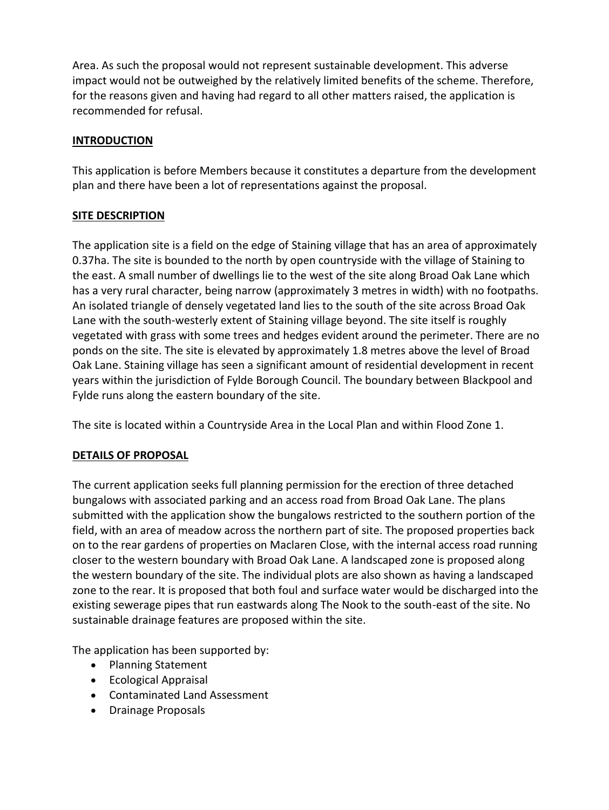Area. As such the proposal would not represent sustainable development. This adverse impact would not be outweighed by the relatively limited benefits of the scheme. Therefore, for the reasons given and having had regard to all other matters raised, the application is recommended for refusal.

## **INTRODUCTION**

This application is before Members because it constitutes a departure from the development plan and there have been a lot of representations against the proposal.

## **SITE DESCRIPTION**

The application site is a field on the edge of Staining village that has an area of approximately 0.37ha. The site is bounded to the north by open countryside with the village of Staining to the east. A small number of dwellings lie to the west of the site along Broad Oak Lane which has a very rural character, being narrow (approximately 3 metres in width) with no footpaths. An isolated triangle of densely vegetated land lies to the south of the site across Broad Oak Lane with the south-westerly extent of Staining village beyond. The site itself is roughly vegetated with grass with some trees and hedges evident around the perimeter. There are no ponds on the site. The site is elevated by approximately 1.8 metres above the level of Broad Oak Lane. Staining village has seen a significant amount of residential development in recent years within the jurisdiction of Fylde Borough Council. The boundary between Blackpool and Fylde runs along the eastern boundary of the site.

The site is located within a Countryside Area in the Local Plan and within Flood Zone 1.

# **DETAILS OF PROPOSAL**

The current application seeks full planning permission for the erection of three detached bungalows with associated parking and an access road from Broad Oak Lane. The plans submitted with the application show the bungalows restricted to the southern portion of the field, with an area of meadow across the northern part of site. The proposed properties back on to the rear gardens of properties on Maclaren Close, with the internal access road running closer to the western boundary with Broad Oak Lane. A landscaped zone is proposed along the western boundary of the site. The individual plots are also shown as having a landscaped zone to the rear. It is proposed that both foul and surface water would be discharged into the existing sewerage pipes that run eastwards along The Nook to the south-east of the site. No sustainable drainage features are proposed within the site.

The application has been supported by:

- Planning Statement
- Ecological Appraisal
- Contaminated Land Assessment
- Drainage Proposals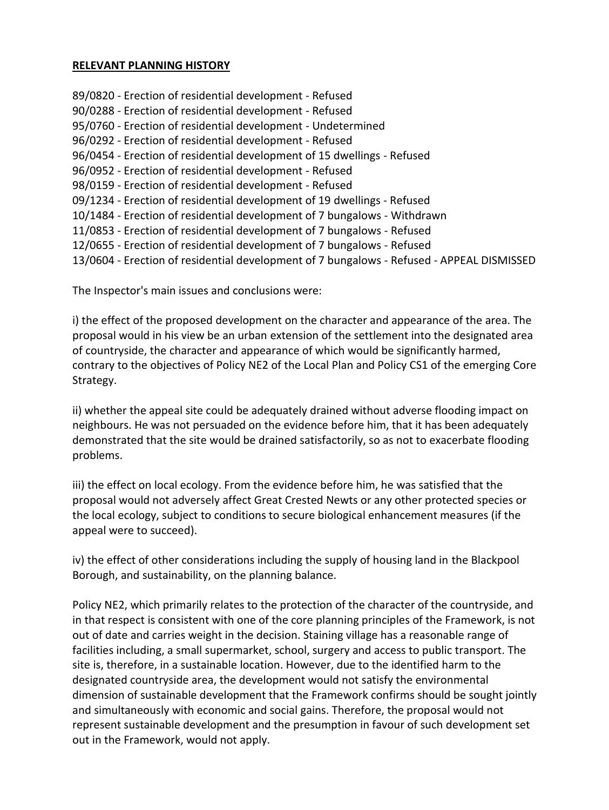#### **RELEVANT PLANNING HISTORY**

89/0820 - Erection of residential development - Refused 90/0288 - Erection of residential development - Refused 95/0760 - Erection of residential development - Undetermined 96/0292 - Erection of residential development - Refused 96/0454 - Erection of residential development of 15 dwellings - Refused 96/0952 - Erection of residential development - Refused 98/0159 - Erection of residential development - Refused 09/1234 - Erection of residential development of 19 dwellings - Refused 10/1484 - Erection of residential development of 7 bungalows - Withdrawn 11/0853 - Erection of residential development of 7 bungalows - Refused 12/0655 - Erection of residential development of 7 bungalows - Refused 13/0604 - Erection of residential development of 7 bungalows - Refused - APPEAL DISMISSED

The Inspector's main issues and conclusions were:

i) the effect of the proposed development on the character and appearance of the area. The proposal would in his view be an urban extension of the settlement into the designated area of countryside, the character and appearance of which would be significantly harmed, contrary to the objectives of Policy NE2 of the Local Plan and Policy CS1 of the emerging Core Strategy.

ii) whether the appeal site could be adequately drained without adverse flooding impact on neighbours. He was not persuaded on the evidence before him, that it has been adequately demonstrated that the site would be drained satisfactorily, so as not to exacerbate flooding problems.

iii) the effect on local ecology. From the evidence before him, he was satisfied that the proposal would not adversely affect Great Crested Newts or any other protected species or the local ecology, subject to conditions to secure biological enhancement measures (if the appeal were to succeed).

iv) the effect of other considerations including the supply of housing land in the Blackpool Borough, and sustainability, on the planning balance.

Policy NE2, which primarily relates to the protection of the character of the countryside, and in that respect is consistent with one of the core planning principles of the Framework, is not out of date and carries weight in the decision. Staining village has a reasonable range of facilities including, a small supermarket, school, surgery and access to public transport. The site is, therefore, in a sustainable location. However, due to the identified harm to the designated countryside area, the development would not satisfy the environmental dimension of sustainable development that the Framework confirms should be sought jointly and simultaneously with economic and social gains. Therefore, the proposal would not represent sustainable development and the presumption in favour of such development set out in the Framework, would not apply.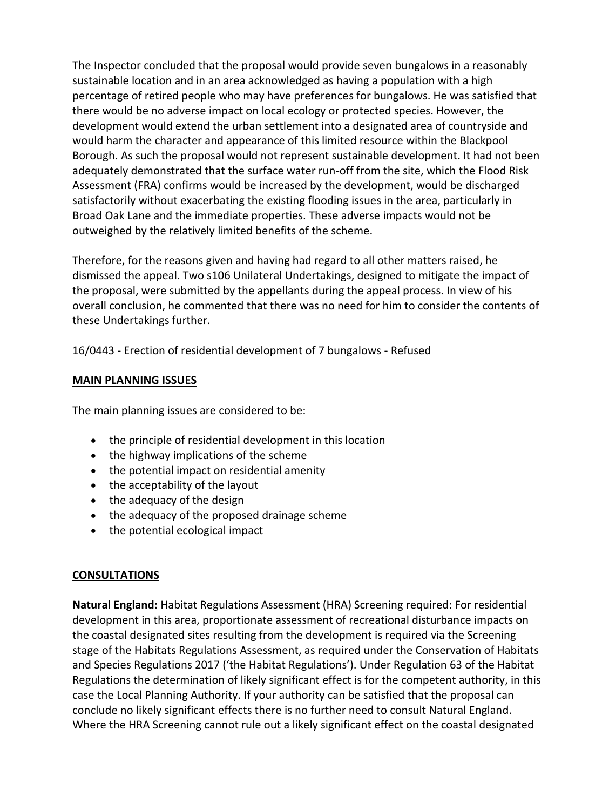The Inspector concluded that the proposal would provide seven bungalows in a reasonably sustainable location and in an area acknowledged as having a population with a high percentage of retired people who may have preferences for bungalows. He was satisfied that there would be no adverse impact on local ecology or protected species. However, the development would extend the urban settlement into a designated area of countryside and would harm the character and appearance of this limited resource within the Blackpool Borough. As such the proposal would not represent sustainable development. It had not been adequately demonstrated that the surface water run-off from the site, which the Flood Risk Assessment (FRA) confirms would be increased by the development, would be discharged satisfactorily without exacerbating the existing flooding issues in the area, particularly in Broad Oak Lane and the immediate properties. These adverse impacts would not be outweighed by the relatively limited benefits of the scheme.

Therefore, for the reasons given and having had regard to all other matters raised, he dismissed the appeal. Two s106 Unilateral Undertakings, designed to mitigate the impact of the proposal, were submitted by the appellants during the appeal process. In view of his overall conclusion, he commented that there was no need for him to consider the contents of these Undertakings further.

16/0443 - Erection of residential development of 7 bungalows - Refused

## **MAIN PLANNING ISSUES**

The main planning issues are considered to be:

- the principle of residential development in this location
- the highway implications of the scheme
- the potential impact on residential amenity
- the acceptability of the layout
- the adequacy of the design
- the adequacy of the proposed drainage scheme
- the potential ecological impact

## **CONSULTATIONS**

**Natural England:** Habitat Regulations Assessment (HRA) Screening required: For residential development in this area, proportionate assessment of recreational disturbance impacts on the coastal designated sites resulting from the development is required via the Screening stage of the Habitats Regulations Assessment, as required under the Conservation of Habitats and Species Regulations 2017 ('the Habitat Regulations'). Under Regulation 63 of the Habitat Regulations the determination of likely significant effect is for the competent authority, in this case the Local Planning Authority. If your authority can be satisfied that the proposal can conclude no likely significant effects there is no further need to consult Natural England. Where the HRA Screening cannot rule out a likely significant effect on the coastal designated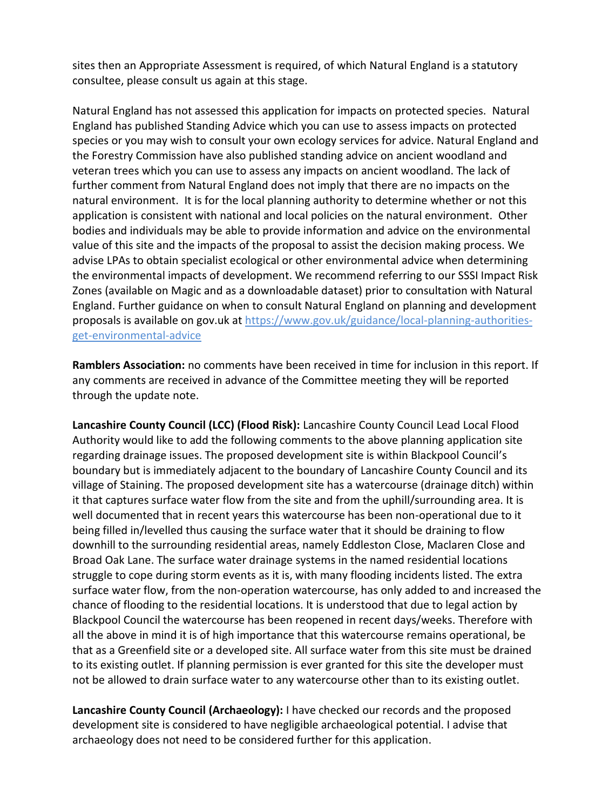sites then an Appropriate Assessment is required, of which Natural England is a statutory consultee, please consult us again at this stage.

Natural England has not assessed this application for impacts on protected species. Natural England has published Standing Advice which you can use to assess impacts on protected species or you may wish to consult your own ecology services for advice. Natural England and the Forestry Commission have also published standing advice on ancient woodland and veteran trees which you can use to assess any impacts on ancient woodland. The lack of further comment from Natural England does not imply that there are no impacts on the natural environment. It is for the local planning authority to determine whether or not this application is consistent with national and local policies on the natural environment. Other bodies and individuals may be able to provide information and advice on the environmental value of this site and the impacts of the proposal to assist the decision making process. We advise LPAs to obtain specialist ecological or other environmental advice when determining the environmental impacts of development. We recommend referring to our SSSI Impact Risk Zones (available on Magic and as a downloadable dataset) prior to consultation with Natural England. Further guidance on when to consult Natural England on planning and development proposals is available on gov.uk at https://www.gov.uk/guidance/local-planning-authoritiesget-environmental-advice

**Ramblers Association:** no comments have been received in time for inclusion in this report. If any comments are received in advance of the Committee meeting they will be reported through the update note.

**Lancashire County Council (LCC) (Flood Risk):** Lancashire County Council Lead Local Flood Authority would like to add the following comments to the above planning application site regarding drainage issues. The proposed development site is within Blackpool Council's boundary but is immediately adjacent to the boundary of Lancashire County Council and its village of Staining. The proposed development site has a watercourse (drainage ditch) within it that captures surface water flow from the site and from the uphill/surrounding area. It is well documented that in recent years this watercourse has been non-operational due to it being filled in/levelled thus causing the surface water that it should be draining to flow downhill to the surrounding residential areas, namely Eddleston Close, Maclaren Close and Broad Oak Lane. The surface water drainage systems in the named residential locations struggle to cope during storm events as it is, with many flooding incidents listed. The extra surface water flow, from the non-operation watercourse, has only added to and increased the chance of flooding to the residential locations. It is understood that due to legal action by Blackpool Council the watercourse has been reopened in recent days/weeks. Therefore with all the above in mind it is of high importance that this watercourse remains operational, be that as a Greenfield site or a developed site. All surface water from this site must be drained to its existing outlet. If planning permission is ever granted for this site the developer must not be allowed to drain surface water to any watercourse other than to its existing outlet.

**Lancashire County Council (Archaeology):** I have checked our records and the proposed development site is considered to have negligible archaeological potential. I advise that archaeology does not need to be considered further for this application.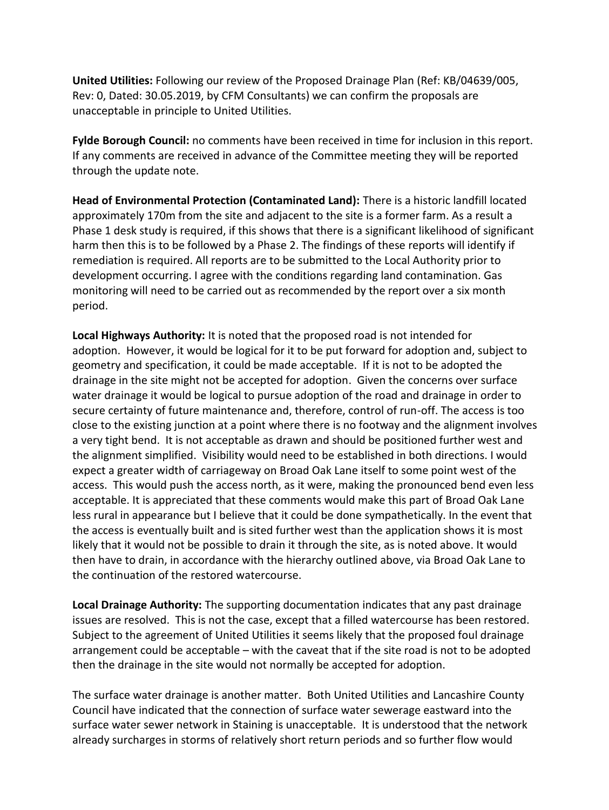**United Utilities:** Following our review of the Proposed Drainage Plan (Ref: KB/04639/005, Rev: 0, Dated: 30.05.2019, by CFM Consultants) we can confirm the proposals are unacceptable in principle to United Utilities.

**Fylde Borough Council:** no comments have been received in time for inclusion in this report. If any comments are received in advance of the Committee meeting they will be reported through the update note.

**Head of Environmental Protection (Contaminated Land):** There is a historic landfill located approximately 170m from the site and adjacent to the site is a former farm. As a result a Phase 1 desk study is required, if this shows that there is a significant likelihood of significant harm then this is to be followed by a Phase 2. The findings of these reports will identify if remediation is required. All reports are to be submitted to the Local Authority prior to development occurring. I agree with the conditions regarding land contamination. Gas monitoring will need to be carried out as recommended by the report over a six month period.

**Local Highways Authority:** It is noted that the proposed road is not intended for adoption. However, it would be logical for it to be put forward for adoption and, subject to geometry and specification, it could be made acceptable. If it is not to be adopted the drainage in the site might not be accepted for adoption. Given the concerns over surface water drainage it would be logical to pursue adoption of the road and drainage in order to secure certainty of future maintenance and, therefore, control of run-off. The access is too close to the existing junction at a point where there is no footway and the alignment involves a very tight bend. It is not acceptable as drawn and should be positioned further west and the alignment simplified. Visibility would need to be established in both directions. I would expect a greater width of carriageway on Broad Oak Lane itself to some point west of the access. This would push the access north, as it were, making the pronounced bend even less acceptable. It is appreciated that these comments would make this part of Broad Oak Lane less rural in appearance but I believe that it could be done sympathetically. In the event that the access is eventually built and is sited further west than the application shows it is most likely that it would not be possible to drain it through the site, as is noted above. It would then have to drain, in accordance with the hierarchy outlined above, via Broad Oak Lane to the continuation of the restored watercourse.

**Local Drainage Authority:** The supporting documentation indicates that any past drainage issues are resolved. This is not the case, except that a filled watercourse has been restored. Subject to the agreement of United Utilities it seems likely that the proposed foul drainage arrangement could be acceptable – with the caveat that if the site road is not to be adopted then the drainage in the site would not normally be accepted for adoption.

The surface water drainage is another matter. Both United Utilities and Lancashire County Council have indicated that the connection of surface water sewerage eastward into the surface water sewer network in Staining is unacceptable. It is understood that the network already surcharges in storms of relatively short return periods and so further flow would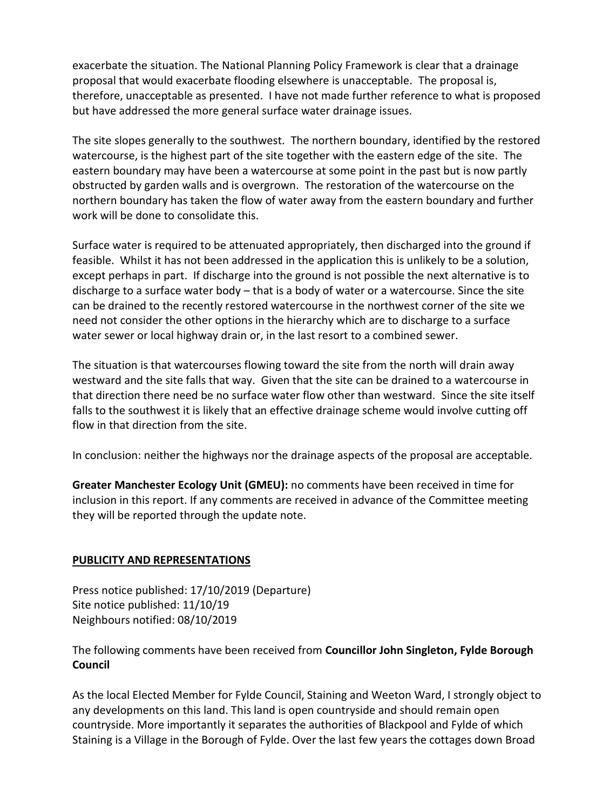exacerbate the situation. The National Planning Policy Framework is clear that a drainage proposal that would exacerbate flooding elsewhere is unacceptable. The proposal is, therefore, unacceptable as presented. I have not made further reference to what is proposed but have addressed the more general surface water drainage issues.

The site slopes generally to the southwest. The northern boundary, identified by the restored watercourse, is the highest part of the site together with the eastern edge of the site. The eastern boundary may have been a watercourse at some point in the past but is now partly obstructed by garden walls and is overgrown. The restoration of the watercourse on the northern boundary has taken the flow of water away from the eastern boundary and further work will be done to consolidate this.

Surface water is required to be attenuated appropriately, then discharged into the ground if feasible. Whilst it has not been addressed in the application this is unlikely to be a solution, except perhaps in part. If discharge into the ground is not possible the next alternative is to discharge to a surface water body – that is a body of water or a watercourse. Since the site can be drained to the recently restored watercourse in the northwest corner of the site we need not consider the other options in the hierarchy which are to discharge to a surface water sewer or local highway drain or, in the last resort to a combined sewer.

The situation is that watercourses flowing toward the site from the north will drain away westward and the site falls that way. Given that the site can be drained to a watercourse in that direction there need be no surface water flow other than westward. Since the site itself falls to the southwest it is likely that an effective drainage scheme would involve cutting off flow in that direction from the site.

In conclusion: neither the highways nor the drainage aspects of the proposal are acceptable.

**Greater Manchester Ecology Unit (GMEU):** no comments have been received in time for inclusion in this report. If any comments are received in advance of the Committee meeting they will be reported through the update note.

# **PUBLICITY AND REPRESENTATIONS**

Press notice published: 17/10/2019 (Departure) Site notice published: 11/10/19 Neighbours notified: 08/10/2019

The following comments have been received from **Councillor John Singleton, Fylde Borough Council**

As the local Elected Member for Fylde Council, Staining and Weeton Ward, I strongly object to any developments on this land. This land is open countryside and should remain open countryside. More importantly it separates the authorities of Blackpool and Fylde of which Staining is a Village in the Borough of Fylde. Over the last few years the cottages down Broad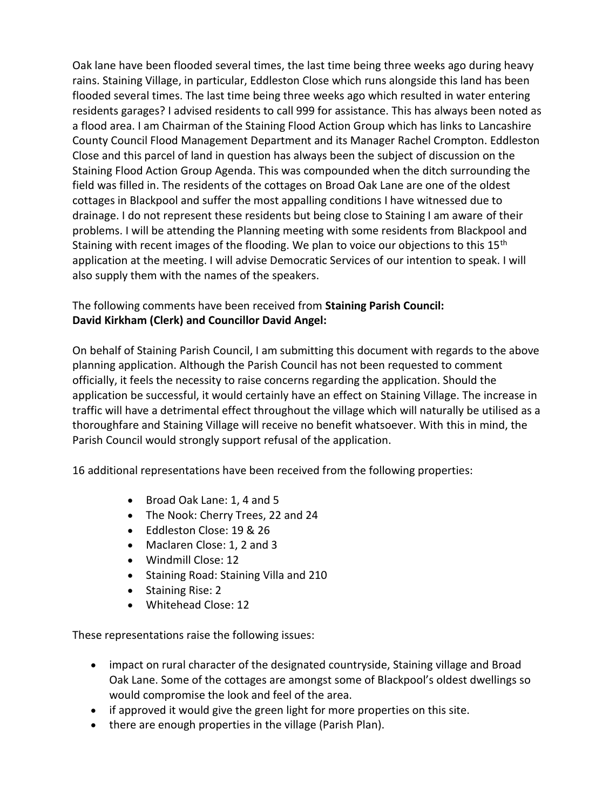Oak lane have been flooded several times, the last time being three weeks ago during heavy rains. Staining Village, in particular, Eddleston Close which runs alongside this land has been flooded several times. The last time being three weeks ago which resulted in water entering residents garages? I advised residents to call 999 for assistance. This has always been noted as a flood area. I am Chairman of the Staining Flood Action Group which has links to Lancashire County Council Flood Management Department and its Manager Rachel Crompton. Eddleston Close and this parcel of land in question has always been the subject of discussion on the Staining Flood Action Group Agenda. This was compounded when the ditch surrounding the field was filled in. The residents of the cottages on Broad Oak Lane are one of the oldest cottages in Blackpool and suffer the most appalling conditions I have witnessed due to drainage. I do not represent these residents but being close to Staining I am aware of their problems. I will be attending the Planning meeting with some residents from Blackpool and Staining with recent images of the flooding. We plan to voice our objections to this 15<sup>th</sup> application at the meeting. I will advise Democratic Services of our intention to speak. I will also supply them with the names of the speakers.

## The following comments have been received from **Staining Parish Council: David Kirkham (Clerk) and Councillor David Angel:**

On behalf of Staining Parish Council, I am submitting this document with regards to the above planning application. Although the Parish Council has not been requested to comment officially, it feels the necessity to raise concerns regarding the application. Should the application be successful, it would certainly have an effect on Staining Village. The increase in traffic will have a detrimental effect throughout the village which will naturally be utilised as a thoroughfare and Staining Village will receive no benefit whatsoever. With this in mind, the Parish Council would strongly support refusal of the application.

16 additional representations have been received from the following properties:

- Broad Oak Lane: 1, 4 and 5
- The Nook: Cherry Trees, 22 and 24
- Eddleston Close: 19 & 26
- Maclaren Close: 1, 2 and 3
- Windmill Close: 12
- Staining Road: Staining Villa and 210
- Staining Rise: 2
- Whitehead Close: 12

These representations raise the following issues:

- impact on rural character of the designated countryside, Staining village and Broad Oak Lane. Some of the cottages are amongst some of Blackpool's oldest dwellings so would compromise the look and feel of the area.
- if approved it would give the green light for more properties on this site.
- there are enough properties in the village (Parish Plan).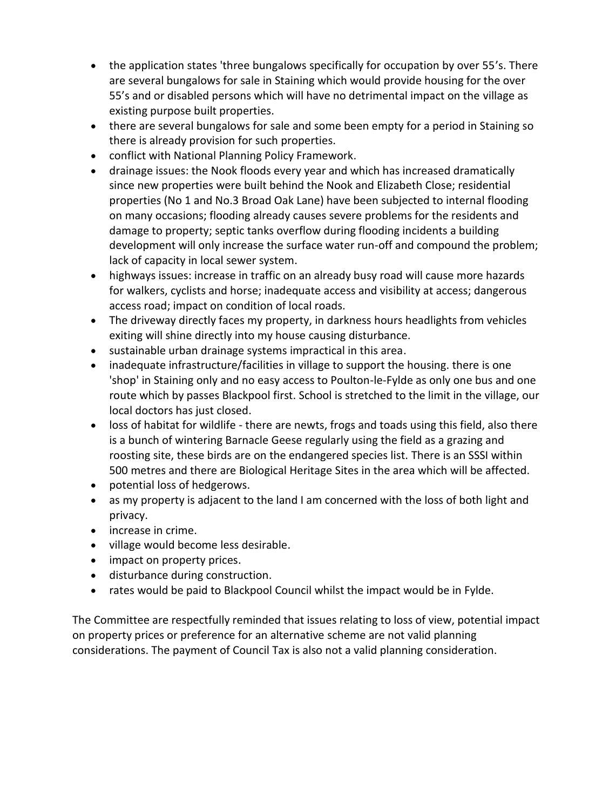- the application states 'three bungalows specifically for occupation by over 55's. There are several bungalows for sale in Staining which would provide housing for the over 55's and or disabled persons which will have no detrimental impact on the village as existing purpose built properties.
- there are several bungalows for sale and some been empty for a period in Staining so there is already provision for such properties.
- conflict with National Planning Policy Framework.
- drainage issues: the Nook floods every year and which has increased dramatically since new properties were built behind the Nook and Elizabeth Close; residential properties (No 1 and No.3 Broad Oak Lane) have been subjected to internal flooding on many occasions; flooding already causes severe problems for the residents and damage to property; septic tanks overflow during flooding incidents a building development will only increase the surface water run-off and compound the problem; lack of capacity in local sewer system.
- highways issues: increase in traffic on an already busy road will cause more hazards for walkers, cyclists and horse; inadequate access and visibility at access; dangerous access road; impact on condition of local roads.
- The driveway directly faces my property, in darkness hours headlights from vehicles exiting will shine directly into my house causing disturbance.
- sustainable urban drainage systems impractical in this area.
- inadequate infrastructure/facilities in village to support the housing. there is one 'shop' in Staining only and no easy access to Poulton-le-Fylde as only one bus and one route which by passes Blackpool first. School is stretched to the limit in the village, our local doctors has just closed.
- loss of habitat for wildlife there are newts, frogs and toads using this field, also there is a bunch of wintering Barnacle Geese regularly using the field as a grazing and roosting site, these birds are on the endangered species list. There is an SSSI within 500 metres and there are Biological Heritage Sites in the area which will be affected.
- potential loss of hedgerows.
- as my property is adjacent to the land I am concerned with the loss of both light and privacy.
- increase in crime.
- village would become less desirable.
- impact on property prices.
- disturbance during construction.
- rates would be paid to Blackpool Council whilst the impact would be in Fylde.

The Committee are respectfully reminded that issues relating to loss of view, potential impact on property prices or preference for an alternative scheme are not valid planning considerations. The payment of Council Tax is also not a valid planning consideration.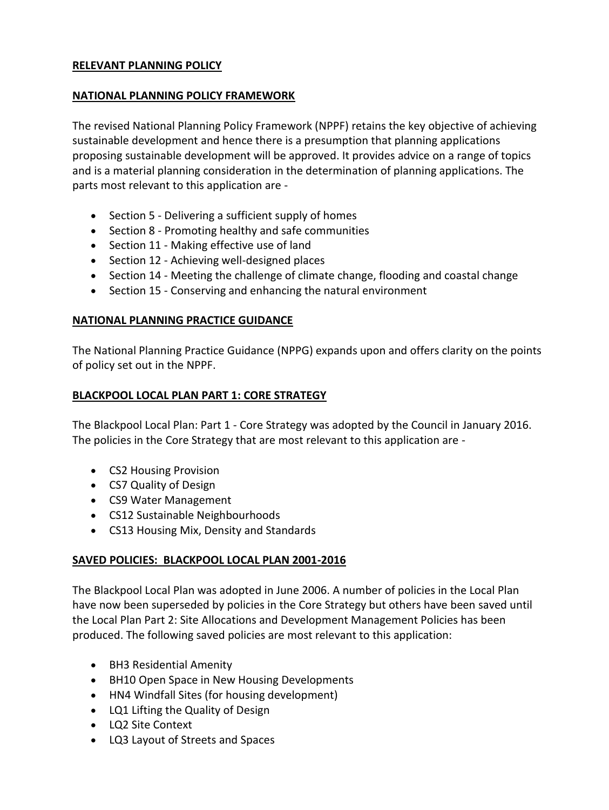### **RELEVANT PLANNING POLICY**

### **NATIONAL PLANNING POLICY FRAMEWORK**

The revised National Planning Policy Framework (NPPF) retains the key objective of achieving sustainable development and hence there is a presumption that planning applications proposing sustainable development will be approved. It provides advice on a range of topics and is a material planning consideration in the determination of planning applications. The parts most relevant to this application are -

- Section 5 Delivering a sufficient supply of homes
- Section 8 Promoting healthy and safe communities
- Section 11 Making effective use of land
- Section 12 Achieving well-designed places
- Section 14 Meeting the challenge of climate change, flooding and coastal change
- Section 15 Conserving and enhancing the natural environment

### **NATIONAL PLANNING PRACTICE GUIDANCE**

The National Planning Practice Guidance (NPPG) expands upon and offers clarity on the points of policy set out in the NPPF.

### **BLACKPOOL LOCAL PLAN PART 1: CORE STRATEGY**

The Blackpool Local Plan: Part 1 - Core Strategy was adopted by the Council in January 2016. The policies in the Core Strategy that are most relevant to this application are -

- CS2 Housing Provision
- CS7 Quality of Design
- CS9 Water Management
- CS12 Sustainable Neighbourhoods
- CS13 Housing Mix, Density and Standards

## **SAVED POLICIES: BLACKPOOL LOCAL PLAN 2001-2016**

The Blackpool Local Plan was adopted in June 2006. A number of policies in the Local Plan have now been superseded by policies in the Core Strategy but others have been saved until the Local Plan Part 2: Site Allocations and Development Management Policies has been produced. The following saved policies are most relevant to this application:

- BH3 Residential Amenity
- BH10 Open Space in New Housing Developments
- HN4 Windfall Sites (for housing development)
- LQ1 Lifting the Quality of Design
- LQ2 Site Context
- LQ3 Layout of Streets and Spaces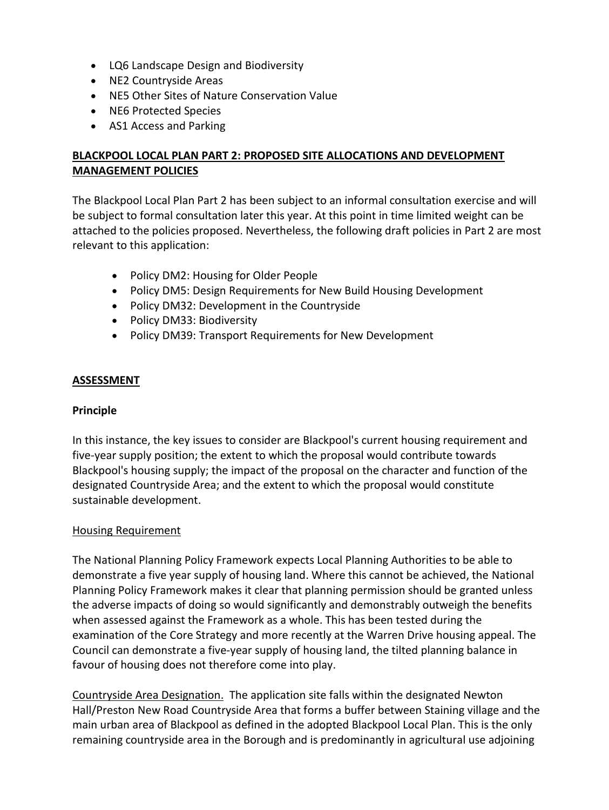- LQ6 Landscape Design and Biodiversity
- NE2 Countryside Areas
- NE5 Other Sites of Nature Conservation Value
- NE6 Protected Species
- AS1 Access and Parking

## **BLACKPOOL LOCAL PLAN PART 2: PROPOSED SITE ALLOCATIONS AND DEVELOPMENT MANAGEMENT POLICIES**

The Blackpool Local Plan Part 2 has been subject to an informal consultation exercise and will be subject to formal consultation later this year. At this point in time limited weight can be attached to the policies proposed. Nevertheless, the following draft policies in Part 2 are most relevant to this application:

- Policy DM2: Housing for Older People
- Policy DM5: Design Requirements for New Build Housing Development
- Policy DM32: Development in the Countryside
- Policy DM33: Biodiversity
- Policy DM39: Transport Requirements for New Development

#### **ASSESSMENT**

#### **Principle**

In this instance, the key issues to consider are Blackpool's current housing requirement and five-year supply position; the extent to which the proposal would contribute towards Blackpool's housing supply; the impact of the proposal on the character and function of the designated Countryside Area; and the extent to which the proposal would constitute sustainable development.

#### Housing Requirement

The National Planning Policy Framework expects Local Planning Authorities to be able to demonstrate a five year supply of housing land. Where this cannot be achieved, the National Planning Policy Framework makes it clear that planning permission should be granted unless the adverse impacts of doing so would significantly and demonstrably outweigh the benefits when assessed against the Framework as a whole. This has been tested during the examination of the Core Strategy and more recently at the Warren Drive housing appeal. The Council can demonstrate a five-year supply of housing land, the tilted planning balance in favour of housing does not therefore come into play.

Countryside Area Designation. The application site falls within the designated Newton Hall/Preston New Road Countryside Area that forms a buffer between Staining village and the main urban area of Blackpool as defined in the adopted Blackpool Local Plan. This is the only remaining countryside area in the Borough and is predominantly in agricultural use adjoining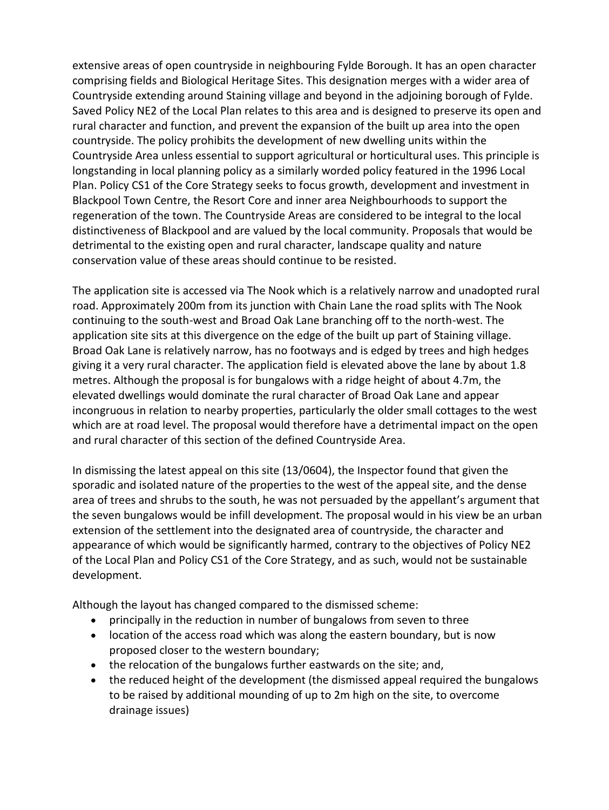extensive areas of open countryside in neighbouring Fylde Borough. It has an open character comprising fields and Biological Heritage Sites. This designation merges with a wider area of Countryside extending around Staining village and beyond in the adjoining borough of Fylde. Saved Policy NE2 of the Local Plan relates to this area and is designed to preserve its open and rural character and function, and prevent the expansion of the built up area into the open countryside. The policy prohibits the development of new dwelling units within the Countryside Area unless essential to support agricultural or horticultural uses. This principle is longstanding in local planning policy as a similarly worded policy featured in the 1996 Local Plan. Policy CS1 of the Core Strategy seeks to focus growth, development and investment in Blackpool Town Centre, the Resort Core and inner area Neighbourhoods to support the regeneration of the town. The Countryside Areas are considered to be integral to the local distinctiveness of Blackpool and are valued by the local community. Proposals that would be detrimental to the existing open and rural character, landscape quality and nature conservation value of these areas should continue to be resisted.

The application site is accessed via The Nook which is a relatively narrow and unadopted rural road. Approximately 200m from its junction with Chain Lane the road splits with The Nook continuing to the south-west and Broad Oak Lane branching off to the north-west. The application site sits at this divergence on the edge of the built up part of Staining village. Broad Oak Lane is relatively narrow, has no footways and is edged by trees and high hedges giving it a very rural character. The application field is elevated above the lane by about 1.8 metres. Although the proposal is for bungalows with a ridge height of about 4.7m, the elevated dwellings would dominate the rural character of Broad Oak Lane and appear incongruous in relation to nearby properties, particularly the older small cottages to the west which are at road level. The proposal would therefore have a detrimental impact on the open and rural character of this section of the defined Countryside Area.

In dismissing the latest appeal on this site (13/0604), the Inspector found that given the sporadic and isolated nature of the properties to the west of the appeal site, and the dense area of trees and shrubs to the south, he was not persuaded by the appellant's argument that the seven bungalows would be infill development. The proposal would in his view be an urban extension of the settlement into the designated area of countryside, the character and appearance of which would be significantly harmed, contrary to the objectives of Policy NE2 of the Local Plan and Policy CS1 of the Core Strategy, and as such, would not be sustainable development.

Although the layout has changed compared to the dismissed scheme:

- principally in the reduction in number of bungalows from seven to three
- location of the access road which was along the eastern boundary, but is now proposed closer to the western boundary;
- the relocation of the bungalows further eastwards on the site; and,
- the reduced height of the development (the dismissed appeal required the bungalows to be raised by additional mounding of up to 2m high on the site, to overcome drainage issues)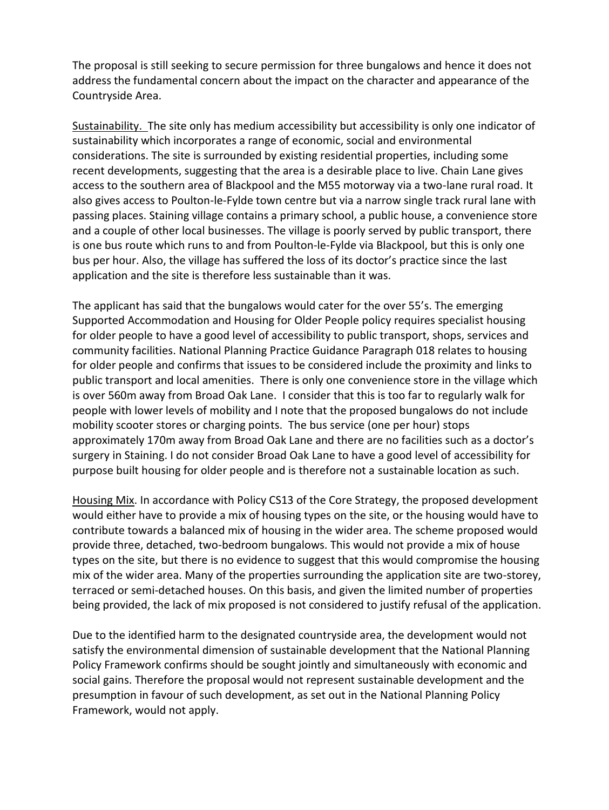The proposal is still seeking to secure permission for three bungalows and hence it does not address the fundamental concern about the impact on the character and appearance of the Countryside Area.

Sustainability. The site only has medium accessibility but accessibility is only one indicator of sustainability which incorporates a range of economic, social and environmental considerations. The site is surrounded by existing residential properties, including some recent developments, suggesting that the area is a desirable place to live. Chain Lane gives access to the southern area of Blackpool and the M55 motorway via a two-lane rural road. It also gives access to Poulton-le-Fylde town centre but via a narrow single track rural lane with passing places. Staining village contains a primary school, a public house, a convenience store and a couple of other local businesses. The village is poorly served by public transport, there is one bus route which runs to and from Poulton-le-Fylde via Blackpool, but this is only one bus per hour. Also, the village has suffered the loss of its doctor's practice since the last application and the site is therefore less sustainable than it was.

The applicant has said that the bungalows would cater for the over 55's. The emerging Supported Accommodation and Housing for Older People policy requires specialist housing for older people to have a good level of accessibility to public transport, shops, services and community facilities. National Planning Practice Guidance Paragraph 018 relates to housing for older people and confirms that issues to be considered include the proximity and links to public transport and local amenities. There is only one convenience store in the village which is over 560m away from Broad Oak Lane. I consider that this is too far to regularly walk for people with lower levels of mobility and I note that the proposed bungalows do not include mobility scooter stores or charging points. The bus service (one per hour) stops approximately 170m away from Broad Oak Lane and there are no facilities such as a doctor's surgery in Staining. I do not consider Broad Oak Lane to have a good level of accessibility for purpose built housing for older people and is therefore not a sustainable location as such.

Housing Mix. In accordance with Policy CS13 of the Core Strategy, the proposed development would either have to provide a mix of housing types on the site, or the housing would have to contribute towards a balanced mix of housing in the wider area. The scheme proposed would provide three, detached, two-bedroom bungalows. This would not provide a mix of house types on the site, but there is no evidence to suggest that this would compromise the housing mix of the wider area. Many of the properties surrounding the application site are two-storey, terraced or semi-detached houses. On this basis, and given the limited number of properties being provided, the lack of mix proposed is not considered to justify refusal of the application.

Due to the identified harm to the designated countryside area, the development would not satisfy the environmental dimension of sustainable development that the National Planning Policy Framework confirms should be sought jointly and simultaneously with economic and social gains. Therefore the proposal would not represent sustainable development and the presumption in favour of such development, as set out in the National Planning Policy Framework, would not apply.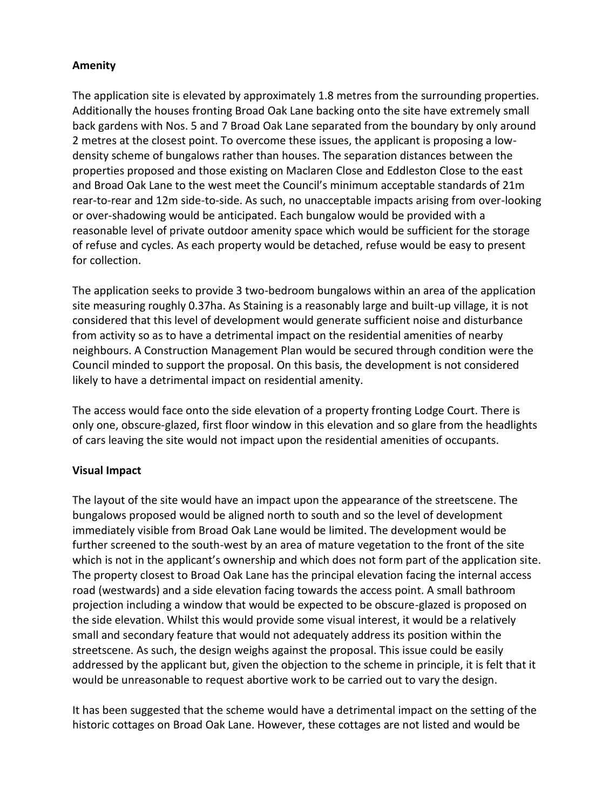### **Amenity**

The application site is elevated by approximately 1.8 metres from the surrounding properties. Additionally the houses fronting Broad Oak Lane backing onto the site have extremely small back gardens with Nos. 5 and 7 Broad Oak Lane separated from the boundary by only around 2 metres at the closest point. To overcome these issues, the applicant is proposing a lowdensity scheme of bungalows rather than houses. The separation distances between the properties proposed and those existing on Maclaren Close and Eddleston Close to the east and Broad Oak Lane to the west meet the Council's minimum acceptable standards of 21m rear-to-rear and 12m side-to-side. As such, no unacceptable impacts arising from over-looking or over-shadowing would be anticipated. Each bungalow would be provided with a reasonable level of private outdoor amenity space which would be sufficient for the storage of refuse and cycles. As each property would be detached, refuse would be easy to present for collection.

The application seeks to provide 3 two-bedroom bungalows within an area of the application site measuring roughly 0.37ha. As Staining is a reasonably large and built-up village, it is not considered that this level of development would generate sufficient noise and disturbance from activity so as to have a detrimental impact on the residential amenities of nearby neighbours. A Construction Management Plan would be secured through condition were the Council minded to support the proposal. On this basis, the development is not considered likely to have a detrimental impact on residential amenity.

The access would face onto the side elevation of a property fronting Lodge Court. There is only one, obscure-glazed, first floor window in this elevation and so glare from the headlights of cars leaving the site would not impact upon the residential amenities of occupants.

## **Visual Impact**

The layout of the site would have an impact upon the appearance of the streetscene. The bungalows proposed would be aligned north to south and so the level of development immediately visible from Broad Oak Lane would be limited. The development would be further screened to the south-west by an area of mature vegetation to the front of the site which is not in the applicant's ownership and which does not form part of the application site. The property closest to Broad Oak Lane has the principal elevation facing the internal access road (westwards) and a side elevation facing towards the access point. A small bathroom projection including a window that would be expected to be obscure-glazed is proposed on the side elevation. Whilst this would provide some visual interest, it would be a relatively small and secondary feature that would not adequately address its position within the streetscene. As such, the design weighs against the proposal. This issue could be easily addressed by the applicant but, given the objection to the scheme in principle, it is felt that it would be unreasonable to request abortive work to be carried out to vary the design.

It has been suggested that the scheme would have a detrimental impact on the setting of the historic cottages on Broad Oak Lane. However, these cottages are not listed and would be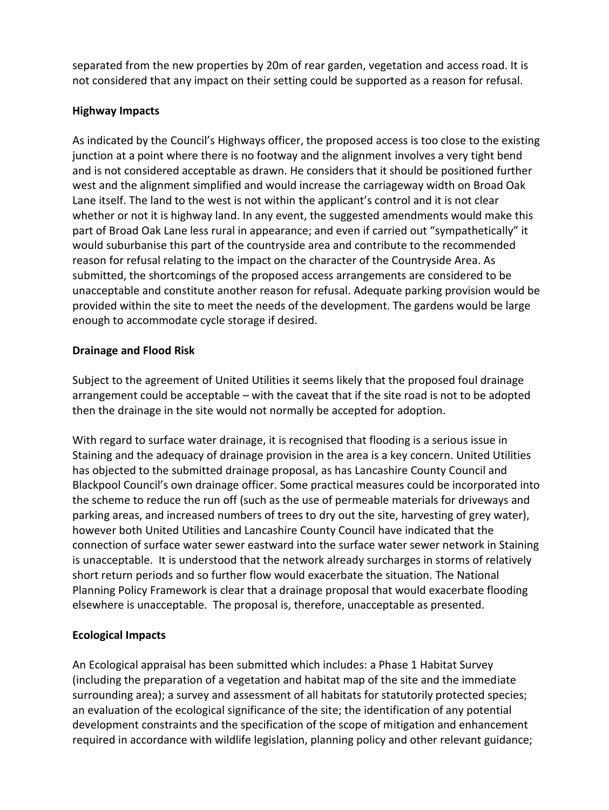separated from the new properties by 20m of rear garden, vegetation and access road. It is not considered that any impact on their setting could be supported as a reason for refusal.

## **Highway Impacts**

As indicated by the Council's Highways officer, the proposed access is too close to the existing junction at a point where there is no footway and the alignment involves a very tight bend and is not considered acceptable as drawn. He considers that it should be positioned further west and the alignment simplified and would increase the carriageway width on Broad Oak Lane itself. The land to the west is not within the applicant's control and it is not clear whether or not it is highway land. In any event, the suggested amendments would make this part of Broad Oak Lane less rural in appearance; and even if carried out "sympathetically" it would suburbanise this part of the countryside area and contribute to the recommended reason for refusal relating to the impact on the character of the Countryside Area. As submitted, the shortcomings of the proposed access arrangements are considered to be unacceptable and constitute another reason for refusal. Adequate parking provision would be provided within the site to meet the needs of the development. The gardens would be large enough to accommodate cycle storage if desired.

## **Drainage and Flood Risk**

Subject to the agreement of United Utilities it seems likely that the proposed foul drainage arrangement could be acceptable – with the caveat that if the site road is not to be adopted then the drainage in the site would not normally be accepted for adoption.

With regard to surface water drainage, it is recognised that flooding is a serious issue in Staining and the adequacy of drainage provision in the area is a key concern. United Utilities has objected to the submitted drainage proposal, as has Lancashire County Council and Blackpool Council's own drainage officer. Some practical measures could be incorporated into the scheme to reduce the run off (such as the use of permeable materials for driveways and parking areas, and increased numbers of trees to dry out the site, harvesting of grey water), however both United Utilities and Lancashire County Council have indicated that the connection of surface water sewer eastward into the surface water sewer network in Staining is unacceptable. It is understood that the network already surcharges in storms of relatively short return periods and so further flow would exacerbate the situation. The National Planning Policy Framework is clear that a drainage proposal that would exacerbate flooding elsewhere is unacceptable. The proposal is, therefore, unacceptable as presented.

# **Ecological Impacts**

An Ecological appraisal has been submitted which includes: a Phase 1 Habitat Survey (including the preparation of a vegetation and habitat map of the site and the immediate surrounding area); a survey and assessment of all habitats for statutorily protected species; an evaluation of the ecological significance of the site; the identification of any potential development constraints and the specification of the scope of mitigation and enhancement required in accordance with wildlife legislation, planning policy and other relevant guidance;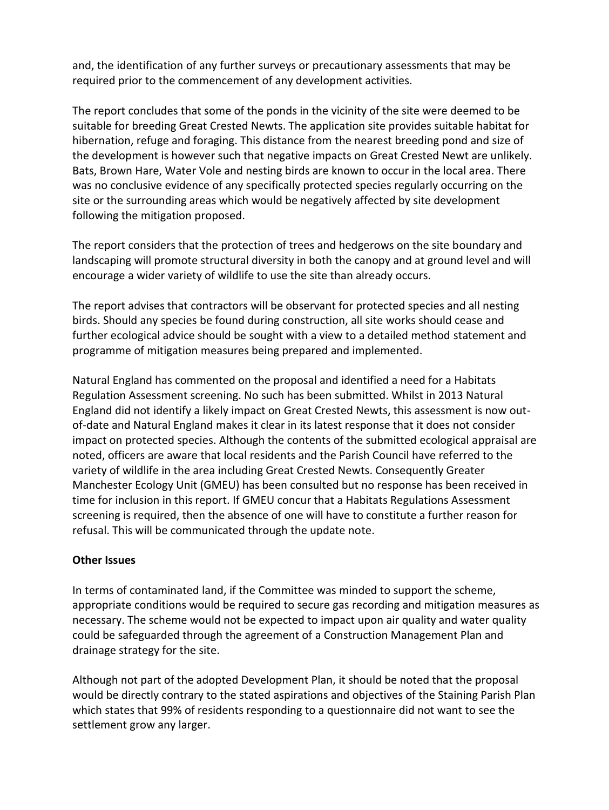and, the identification of any further surveys or precautionary assessments that may be required prior to the commencement of any development activities.

The report concludes that some of the ponds in the vicinity of the site were deemed to be suitable for breeding Great Crested Newts. The application site provides suitable habitat for hibernation, refuge and foraging. This distance from the nearest breeding pond and size of the development is however such that negative impacts on Great Crested Newt are unlikely. Bats, Brown Hare, Water Vole and nesting birds are known to occur in the local area. There was no conclusive evidence of any specifically protected species regularly occurring on the site or the surrounding areas which would be negatively affected by site development following the mitigation proposed.

The report considers that the protection of trees and hedgerows on the site boundary and landscaping will promote structural diversity in both the canopy and at ground level and will encourage a wider variety of wildlife to use the site than already occurs.

The report advises that contractors will be observant for protected species and all nesting birds. Should any species be found during construction, all site works should cease and further ecological advice should be sought with a view to a detailed method statement and programme of mitigation measures being prepared and implemented.

Natural England has commented on the proposal and identified a need for a Habitats Regulation Assessment screening. No such has been submitted. Whilst in 2013 Natural England did not identify a likely impact on Great Crested Newts, this assessment is now outof-date and Natural England makes it clear in its latest response that it does not consider impact on protected species. Although the contents of the submitted ecological appraisal are noted, officers are aware that local residents and the Parish Council have referred to the variety of wildlife in the area including Great Crested Newts. Consequently Greater Manchester Ecology Unit (GMEU) has been consulted but no response has been received in time for inclusion in this report. If GMEU concur that a Habitats Regulations Assessment screening is required, then the absence of one will have to constitute a further reason for refusal. This will be communicated through the update note.

### **Other Issues**

In terms of contaminated land, if the Committee was minded to support the scheme, appropriate conditions would be required to secure gas recording and mitigation measures as necessary. The scheme would not be expected to impact upon air quality and water quality could be safeguarded through the agreement of a Construction Management Plan and drainage strategy for the site.

Although not part of the adopted Development Plan, it should be noted that the proposal would be directly contrary to the stated aspirations and objectives of the Staining Parish Plan which states that 99% of residents responding to a questionnaire did not want to see the settlement grow any larger.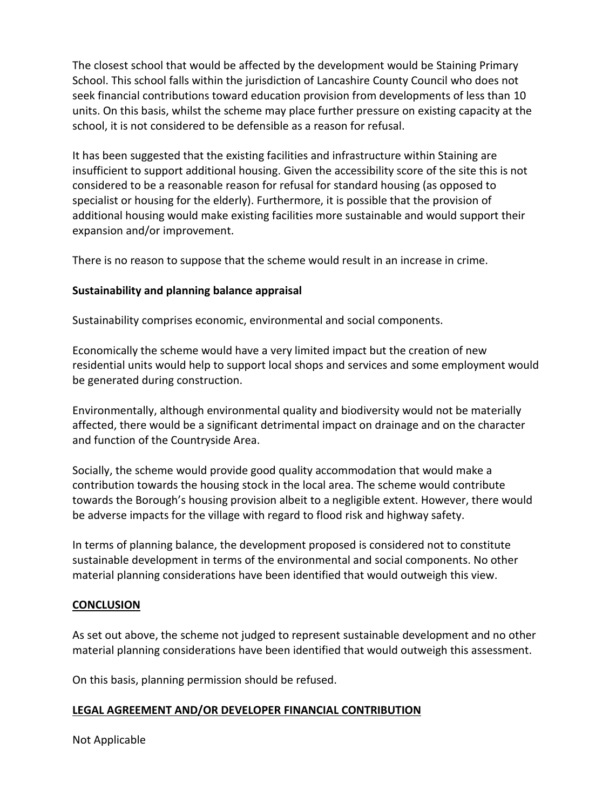The closest school that would be affected by the development would be Staining Primary School. This school falls within the jurisdiction of Lancashire County Council who does not seek financial contributions toward education provision from developments of less than 10 units. On this basis, whilst the scheme may place further pressure on existing capacity at the school, it is not considered to be defensible as a reason for refusal.

It has been suggested that the existing facilities and infrastructure within Staining are insufficient to support additional housing. Given the accessibility score of the site this is not considered to be a reasonable reason for refusal for standard housing (as opposed to specialist or housing for the elderly). Furthermore, it is possible that the provision of additional housing would make existing facilities more sustainable and would support their expansion and/or improvement.

There is no reason to suppose that the scheme would result in an increase in crime.

## **Sustainability and planning balance appraisal**

Sustainability comprises economic, environmental and social components.

Economically the scheme would have a very limited impact but the creation of new residential units would help to support local shops and services and some employment would be generated during construction.

Environmentally, although environmental quality and biodiversity would not be materially affected, there would be a significant detrimental impact on drainage and on the character and function of the Countryside Area.

Socially, the scheme would provide good quality accommodation that would make a contribution towards the housing stock in the local area. The scheme would contribute towards the Borough's housing provision albeit to a negligible extent. However, there would be adverse impacts for the village with regard to flood risk and highway safety.

In terms of planning balance, the development proposed is considered not to constitute sustainable development in terms of the environmental and social components. No other material planning considerations have been identified that would outweigh this view.

### **CONCLUSION**

As set out above, the scheme not judged to represent sustainable development and no other material planning considerations have been identified that would outweigh this assessment.

On this basis, planning permission should be refused.

### **LEGAL AGREEMENT AND/OR DEVELOPER FINANCIAL CONTRIBUTION**

Not Applicable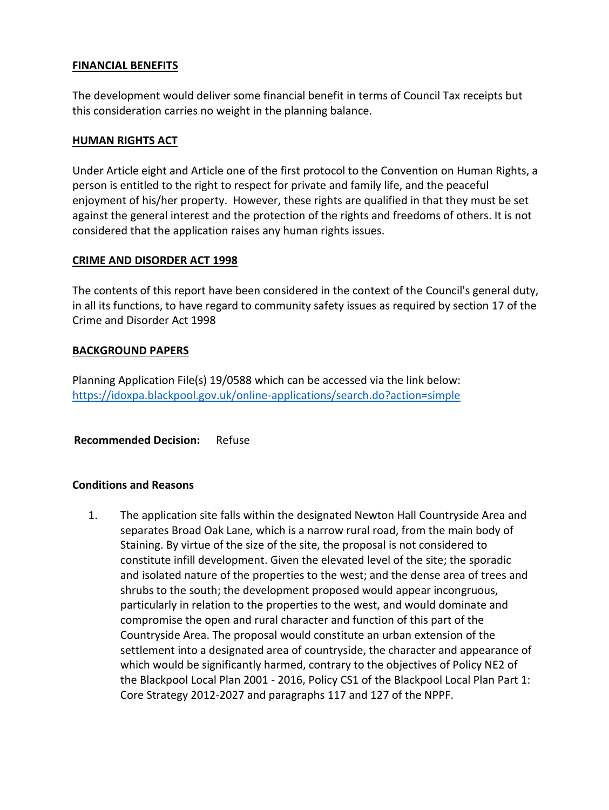#### **FINANCIAL BENEFITS**

The development would deliver some financial benefit in terms of Council Tax receipts but this consideration carries no weight in the planning balance.

### **HUMAN RIGHTS ACT**

Under Article eight and Article one of the first protocol to the Convention on Human Rights, a person is entitled to the right to respect for private and family life, and the peaceful enjoyment of his/her property. However, these rights are qualified in that they must be set against the general interest and the protection of the rights and freedoms of others. It is not considered that the application raises any human rights issues.

### **CRIME AND DISORDER ACT 1998**

The contents of this report have been considered in the context of the Council's general duty, in all its functions, to have regard to community safety issues as required by section 17 of the Crime and Disorder Act 1998

#### **BACKGROUND PAPERS**

Planning Application File(s) 19/0588 which can be accessed via the link below: <https://idoxpa.blackpool.gov.uk/online-applications/search.do?action=simple>

**Recommended Decision:** Refuse

### **Conditions and Reasons**

1. The application site falls within the designated Newton Hall Countryside Area and separates Broad Oak Lane, which is a narrow rural road, from the main body of Staining. By virtue of the size of the site, the proposal is not considered to constitute infill development. Given the elevated level of the site; the sporadic and isolated nature of the properties to the west; and the dense area of trees and shrubs to the south; the development proposed would appear incongruous, particularly in relation to the properties to the west, and would dominate and compromise the open and rural character and function of this part of the Countryside Area. The proposal would constitute an urban extension of the settlement into a designated area of countryside, the character and appearance of which would be significantly harmed, contrary to the objectives of Policy NE2 of the Blackpool Local Plan 2001 - 2016, Policy CS1 of the Blackpool Local Plan Part 1: Core Strategy 2012-2027 and paragraphs 117 and 127 of the NPPF.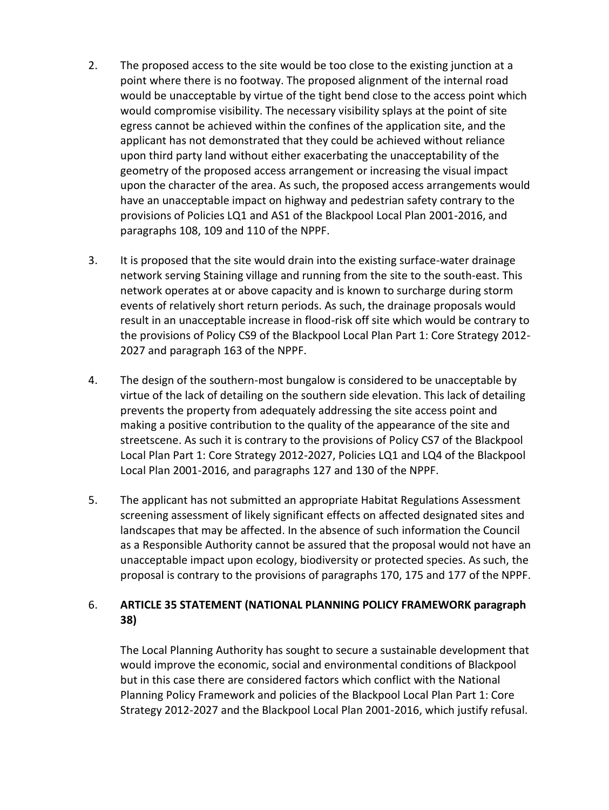- 2. The proposed access to the site would be too close to the existing junction at a point where there is no footway. The proposed alignment of the internal road would be unacceptable by virtue of the tight bend close to the access point which would compromise visibility. The necessary visibility splays at the point of site egress cannot be achieved within the confines of the application site, and the applicant has not demonstrated that they could be achieved without reliance upon third party land without either exacerbating the unacceptability of the geometry of the proposed access arrangement or increasing the visual impact upon the character of the area. As such, the proposed access arrangements would have an unacceptable impact on highway and pedestrian safety contrary to the provisions of Policies LQ1 and AS1 of the Blackpool Local Plan 2001-2016, and paragraphs 108, 109 and 110 of the NPPF.
- 3. It is proposed that the site would drain into the existing surface-water drainage network serving Staining village and running from the site to the south-east. This network operates at or above capacity and is known to surcharge during storm events of relatively short return periods. As such, the drainage proposals would result in an unacceptable increase in flood-risk off site which would be contrary to the provisions of Policy CS9 of the Blackpool Local Plan Part 1: Core Strategy 2012- 2027 and paragraph 163 of the NPPF.
- 4. The design of the southern-most bungalow is considered to be unacceptable by virtue of the lack of detailing on the southern side elevation. This lack of detailing prevents the property from adequately addressing the site access point and making a positive contribution to the quality of the appearance of the site and streetscene. As such it is contrary to the provisions of Policy CS7 of the Blackpool Local Plan Part 1: Core Strategy 2012-2027, Policies LQ1 and LQ4 of the Blackpool Local Plan 2001-2016, and paragraphs 127 and 130 of the NPPF.
- 5. The applicant has not submitted an appropriate Habitat Regulations Assessment screening assessment of likely significant effects on affected designated sites and landscapes that may be affected. In the absence of such information the Council as a Responsible Authority cannot be assured that the proposal would not have an unacceptable impact upon ecology, biodiversity or protected species. As such, the proposal is contrary to the provisions of paragraphs 170, 175 and 177 of the NPPF.

## 6. **ARTICLE 35 STATEMENT (NATIONAL PLANNING POLICY FRAMEWORK paragraph 38)**

The Local Planning Authority has sought to secure a sustainable development that would improve the economic, social and environmental conditions of Blackpool but in this case there are considered factors which conflict with the National Planning Policy Framework and policies of the Blackpool Local Plan Part 1: Core Strategy 2012-2027 and the Blackpool Local Plan 2001-2016, which justify refusal.